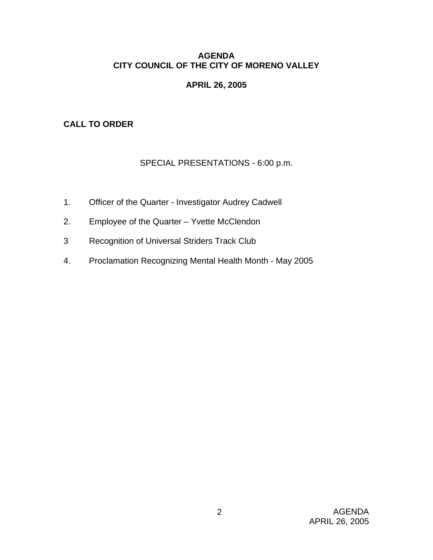## **AGENDA CITY COUNCIL OF THE CITY OF MORENO VALLEY**

# **APRIL 26, 2005**

# **CALL TO ORDER**

# SPECIAL PRESENTATIONS - 6:00 p.m.

- 1. Officer of the Quarter Investigator Audrey Cadwell
- 2. Employee of the Quarter Yvette McClendon
- 3 Recognition of Universal Striders Track Club
- 4. Proclamation Recognizing Mental Health Month May 2005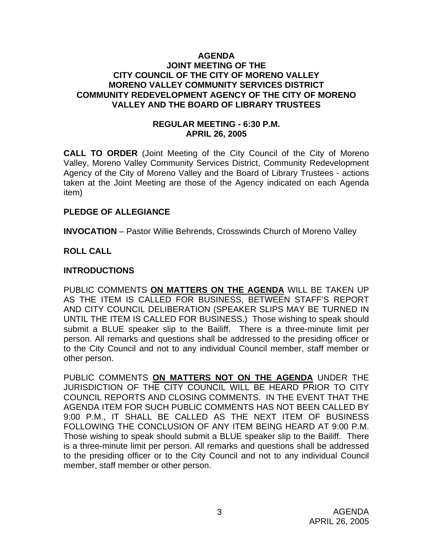#### **AGENDA JOINT MEETING OF THE CITY COUNCIL OF THE CITY OF MORENO VALLEY MORENO VALLEY COMMUNITY SERVICES DISTRICT COMMUNITY REDEVELOPMENT AGENCY OF THE CITY OF MORENO VALLEY AND THE BOARD OF LIBRARY TRUSTEES**

### **REGULAR MEETING - 6:30 P.M. APRIL 26, 2005**

**CALL TO ORDER** (Joint Meeting of the City Council of the City of Moreno Valley, Moreno Valley Community Services District, Community Redevelopment Agency of the City of Moreno Valley and the Board of Library Trustees - actions taken at the Joint Meeting are those of the Agency indicated on each Agenda item)

### **PLEDGE OF ALLEGIANCE**

**INVOCATION** – Pastor Willie Behrends, Crosswinds Church of Moreno Valley

## **ROLL CALL**

### **INTRODUCTIONS**

PUBLIC COMMENTS **ON MATTERS ON THE AGENDA** WILL BE TAKEN UP AS THE ITEM IS CALLED FOR BUSINESS, BETWEEN STAFF'S REPORT AND CITY COUNCIL DELIBERATION (SPEAKER SLIPS MAY BE TURNED IN UNTIL THE ITEM IS CALLED FOR BUSINESS.) Those wishing to speak should submit a BLUE speaker slip to the Bailiff. There is a three-minute limit per person. All remarks and questions shall be addressed to the presiding officer or to the City Council and not to any individual Council member, staff member or other person.

PUBLIC COMMENTS **ON MATTERS NOT ON THE AGENDA** UNDER THE JURISDICTION OF THE CITY COUNCIL WILL BE HEARD PRIOR TO CITY COUNCIL REPORTS AND CLOSING COMMENTS. IN THE EVENT THAT THE AGENDA ITEM FOR SUCH PUBLIC COMMENTS HAS NOT BEEN CALLED BY 9:00 P.M., IT SHALL BE CALLED AS THE NEXT ITEM OF BUSINESS FOLLOWING THE CONCLUSION OF ANY ITEM BEING HEARD AT 9:00 P.M. Those wishing to speak should submit a BLUE speaker slip to the Bailiff. There is a three-minute limit per person. All remarks and questions shall be addressed to the presiding officer or to the City Council and not to any individual Council member, staff member or other person.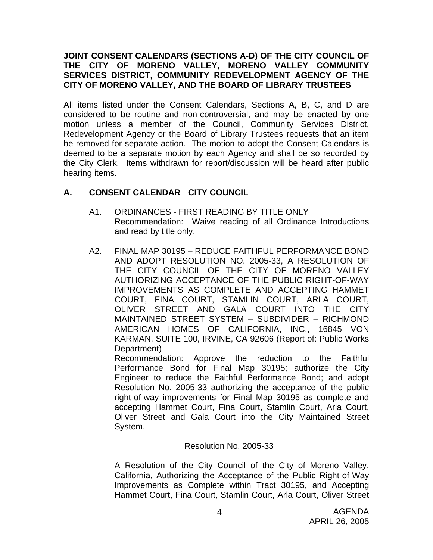### **JOINT CONSENT CALENDARS (SECTIONS A-D) OF THE CITY COUNCIL OF THE CITY OF MORENO VALLEY, MORENO VALLEY COMMUNITY SERVICES DISTRICT, COMMUNITY REDEVELOPMENT AGENCY OF THE CITY OF MORENO VALLEY, AND THE BOARD OF LIBRARY TRUSTEES**

All items listed under the Consent Calendars, Sections A, B, C, and D are considered to be routine and non-controversial, and may be enacted by one motion unless a member of the Council, Community Services District, Redevelopment Agency or the Board of Library Trustees requests that an item be removed for separate action. The motion to adopt the Consent Calendars is deemed to be a separate motion by each Agency and shall be so recorded by the City Clerk. Items withdrawn for report/discussion will be heard after public hearing items.

# **A. CONSENT CALENDAR** - **CITY COUNCIL**

- A1. ORDINANCES FIRST READING BY TITLE ONLY Recommendation: Waive reading of all Ordinance Introductions and read by title only.
- A2. FINAL MAP 30195 REDUCE FAITHFUL PERFORMANCE BOND AND ADOPT RESOLUTION NO. 2005-33, A RESOLUTION OF THE CITY COUNCIL OF THE CITY OF MORENO VALLEY AUTHORIZING ACCEPTANCE OF THE PUBLIC RIGHT-OF-WAY IMPROVEMENTS AS COMPLETE AND ACCEPTING HAMMET COURT, FINA COURT, STAMLIN COURT, ARLA COURT, OLIVER STREET AND GALA COURT INTO THE CITY MAINTAINED STREET SYSTEM – SUBDIVIDER – RICHMOND AMERICAN HOMES OF CALIFORNIA, INC., 16845 VON KARMAN, SUITE 100, IRVINE, CA 92606 (Report of: Public Works Department)

 Recommendation: Approve the reduction to the Faithful Performance Bond for Final Map 30195; authorize the City Engineer to reduce the Faithful Performance Bond; and adopt Resolution No. 2005-33 authorizing the acceptance of the public right-of-way improvements for Final Map 30195 as complete and accepting Hammet Court, Fina Court, Stamlin Court, Arla Court, Oliver Street and Gala Court into the City Maintained Street System.

### Resolution No. 2005-33

 A Resolution of the City Council of the City of Moreno Valley, California, Authorizing the Acceptance of the Public Right-of-Way Improvements as Complete within Tract 30195, and Accepting Hammet Court, Fina Court, Stamlin Court, Arla Court, Oliver Street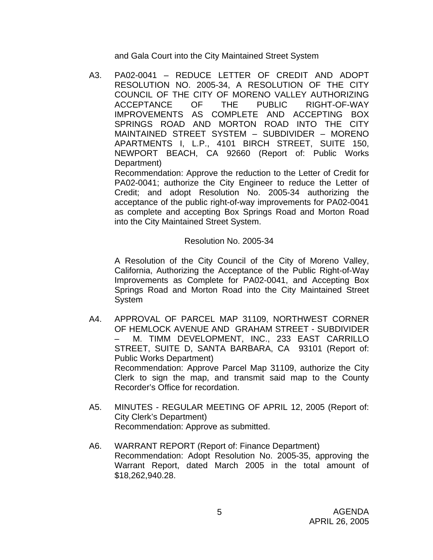and Gala Court into the City Maintained Street System

A3. PA02-0041 – REDUCE LETTER OF CREDIT AND ADOPT RESOLUTION NO. 2005-34, A RESOLUTION OF THE CITY COUNCIL OF THE CITY OF MORENO VALLEY AUTHORIZING ACCEPTANCE OF THE PUBLIC RIGHT-OF-WAY IMPROVEMENTS AS COMPLETE AND ACCEPTING BOX SPRINGS ROAD AND MORTON ROAD INTO THE CITY MAINTAINED STREET SYSTEM – SUBDIVIDER – MORENO APARTMENTS I, L.P., 4101 BIRCH STREET, SUITE 150, NEWPORT BEACH, CA 92660 (Report of: Public Works Department)

 Recommendation: Approve the reduction to the Letter of Credit for PA02-0041; authorize the City Engineer to reduce the Letter of Credit; and adopt Resolution No. 2005-34 authorizing the acceptance of the public right-of-way improvements for PA02-0041 as complete and accepting Box Springs Road and Morton Road into the City Maintained Street System.

#### Resolution No. 2005-34

 A Resolution of the City Council of the City of Moreno Valley, California, Authorizing the Acceptance of the Public Right-of-Way Improvements as Complete for PA02-0041, and Accepting Box Springs Road and Morton Road into the City Maintained Street System

- A4. APPROVAL OF PARCEL MAP 31109, NORTHWEST CORNER OF HEMLOCK AVENUE AND GRAHAM STREET - SUBDIVIDER – M. TIMM DEVELOPMENT, INC., 233 EAST CARRILLO STREET, SUITE D, SANTA BARBARA, CA 93101 (Report of: Public Works Department) Recommendation: Approve Parcel Map 31109, authorize the City Clerk to sign the map, and transmit said map to the County Recorder's Office for recordation.
- A5. MINUTES REGULAR MEETING OF APRIL 12, 2005 (Report of: City Clerk's Department) Recommendation: Approve as submitted.
- A6. WARRANT REPORT (Report of: Finance Department) Recommendation: Adopt Resolution No. 2005-35, approving the Warrant Report, dated March 2005 in the total amount of \$18,262,940.28.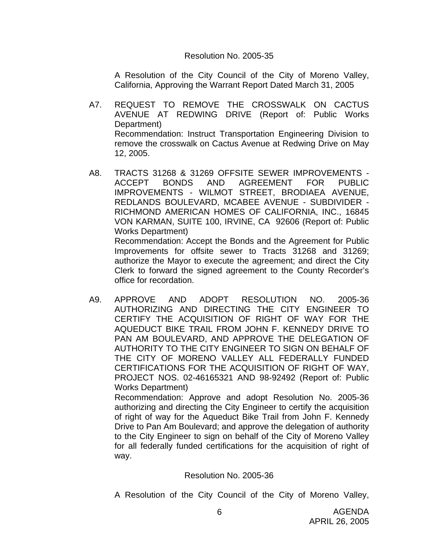#### Resolution No. 2005-35

 A Resolution of the City Council of the City of Moreno Valley, California, Approving the Warrant Report Dated March 31, 2005

- A7. REQUEST TO REMOVE THE CROSSWALK ON CACTUS AVENUE AT REDWING DRIVE (Report of: Public Works Department) Recommendation: Instruct Transportation Engineering Division to remove the crosswalk on Cactus Avenue at Redwing Drive on May 12, 2005.
- A8. TRACTS 31268 & 31269 OFFSITE SEWER IMPROVEMENTS ACCEPT BONDS AND AGREEMENT FOR PUBLIC IMPROVEMENTS - WILMOT STREET, BRODIAEA AVENUE, REDLANDS BOULEVARD, MCABEE AVENUE - SUBDIVIDER - RICHMOND AMERICAN HOMES OF CALIFORNIA, INC., 16845 VON KARMAN, SUITE 100, IRVINE, CA 92606 (Report of: Public Works Department)

 Recommendation: Accept the Bonds and the Agreement for Public Improvements for offsite sewer to Tracts 31268 and 31269; authorize the Mayor to execute the agreement; and direct the City Clerk to forward the signed agreement to the County Recorder's office for recordation.

A9. APPROVE AND ADOPT RESOLUTION NO. 2005-36 AUTHORIZING AND DIRECTING THE CITY ENGINEER TO CERTIFY THE ACQUISITION OF RIGHT OF WAY FOR THE AQUEDUCT BIKE TRAIL FROM JOHN F. KENNEDY DRIVE TO PAN AM BOULEVARD, AND APPROVE THE DELEGATION OF AUTHORITY TO THE CITY ENGINEER TO SIGN ON BEHALF OF THE CITY OF MORENO VALLEY ALL FEDERALLY FUNDED CERTIFICATIONS FOR THE ACQUISITION OF RIGHT OF WAY, PROJECT NOS. 02-46165321 AND 98-92492 (Report of: Public Works Department)

 Recommendation: Approve and adopt Resolution No. 2005-36 authorizing and directing the City Engineer to certify the acquisition of right of way for the Aqueduct Bike Trail from John F. Kennedy Drive to Pan Am Boulevard; and approve the delegation of authority to the City Engineer to sign on behalf of the City of Moreno Valley for all federally funded certifications for the acquisition of right of way.

#### Resolution No. 2005-36

A Resolution of the City Council of the City of Moreno Valley,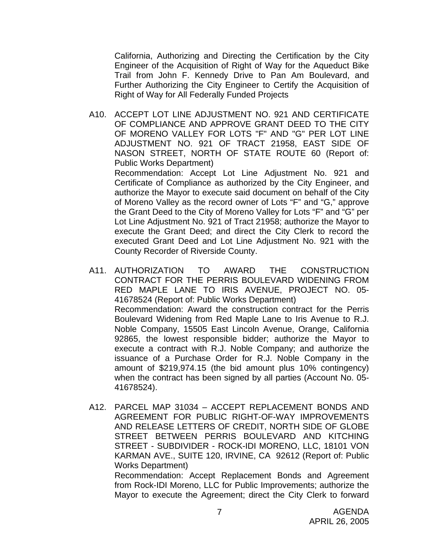California, Authorizing and Directing the Certification by the City Engineer of the Acquisition of Right of Way for the Aqueduct Bike Trail from John F. Kennedy Drive to Pan Am Boulevard, and Further Authorizing the City Engineer to Certify the Acquisition of Right of Way for All Federally Funded Projects

A10. ACCEPT LOT LINE ADJUSTMENT NO. 921 AND CERTIFICATE OF COMPLIANCE AND APPROVE GRANT DEED TO THE CITY OF MORENO VALLEY FOR LOTS "F" AND "G" PER LOT LINE ADJUSTMENT NO. 921 OF TRACT 21958, EAST SIDE OF NASON STREET, NORTH OF STATE ROUTE 60 (Report of: Public Works Department)

 Recommendation: Accept Lot Line Adjustment No. 921 and Certificate of Compliance as authorized by the City Engineer, and authorize the Mayor to execute said document on behalf of the City of Moreno Valley as the record owner of Lots "F" and "G," approve the Grant Deed to the City of Moreno Valley for Lots "F" and "G" per Lot Line Adjustment No. 921 of Tract 21958; authorize the Mayor to execute the Grant Deed; and direct the City Clerk to record the executed Grant Deed and Lot Line Adjustment No. 921 with the County Recorder of Riverside County.

- A11. AUTHORIZATION TO AWARD THE CONSTRUCTION CONTRACT FOR THE PERRIS BOULEVARD WIDENING FROM RED MAPLE LANE TO IRIS AVENUE, PROJECT NO. 05- 41678524 (Report of: Public Works Department) Recommendation: Award the construction contract for the Perris Boulevard Widening from Red Maple Lane to Iris Avenue to R.J. Noble Company, 15505 East Lincoln Avenue, Orange, California 92865, the lowest responsible bidder; authorize the Mayor to execute a contract with R.J. Noble Company; and authorize the issuance of a Purchase Order for R.J. Noble Company in the amount of \$219,974.15 (the bid amount plus 10% contingency) when the contract has been signed by all parties (Account No. 05- 41678524).
- A12. PARCEL MAP 31034 ACCEPT REPLACEMENT BONDS AND AGREEMENT FOR PUBLIC RIGHT-OF-WAY IMPROVEMENTS AND RELEASE LETTERS OF CREDIT, NORTH SIDE OF GLOBE STREET BETWEEN PERRIS BOULEVARD AND KITCHING STREET - SUBDIVIDER - ROCK-IDI MORENO, LLC, 18101 VON KARMAN AVE., SUITE 120, IRVINE, CA 92612 (Report of: Public Works Department)

 Recommendation: Accept Replacement Bonds and Agreement from Rock-IDI Moreno, LLC for Public Improvements; authorize the Mayor to execute the Agreement; direct the City Clerk to forward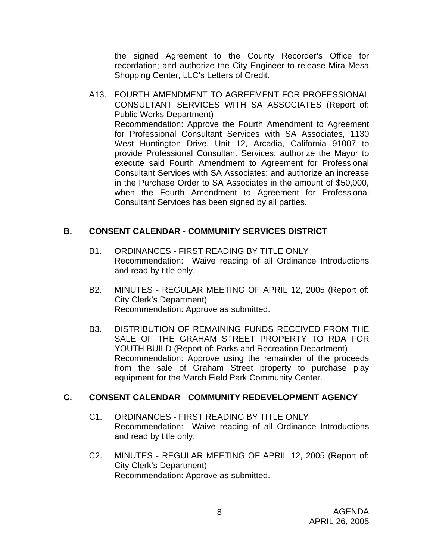the signed Agreement to the County Recorder's Office for recordation; and authorize the City Engineer to release Mira Mesa Shopping Center, LLC's Letters of Credit.

A13. FOURTH AMENDMENT TO AGREEMENT FOR PROFESSIONAL CONSULTANT SERVICES WITH SA ASSOCIATES (Report of: Public Works Department) Recommendation: Approve the Fourth Amendment to Agreement for Professional Consultant Services with SA Associates, 1130 West Huntington Drive, Unit 12, Arcadia, California 91007 to provide Professional Consultant Services; authorize the Mayor to execute said Fourth Amendment to Agreement for Professional Consultant Services with SA Associates; and authorize an increase in the Purchase Order to SA Associates in the amount of \$50,000, when the Fourth Amendment to Agreement for Professional Consultant Services has been signed by all parties.

## **B. CONSENT CALENDAR** - **COMMUNITY SERVICES DISTRICT**

- B1. ORDINANCES FIRST READING BY TITLE ONLY Recommendation: Waive reading of all Ordinance Introductions and read by title only.
- B2. MINUTES REGULAR MEETING OF APRIL 12, 2005 (Report of: City Clerk's Department) Recommendation: Approve as submitted.
- B3. DISTRIBUTION OF REMAINING FUNDS RECEIVED FROM THE SALE OF THE GRAHAM STREET PROPERTY TO RDA FOR YOUTH BUILD (Report of: Parks and Recreation Department) Recommendation: Approve using the remainder of the proceeds from the sale of Graham Street property to purchase play equipment for the March Field Park Community Center.

### **C. CONSENT CALENDAR** - **COMMUNITY REDEVELOPMENT AGENCY**

- C1. ORDINANCES FIRST READING BY TITLE ONLY Recommendation: Waive reading of all Ordinance Introductions and read by title only.
- C2. MINUTES REGULAR MEETING OF APRIL 12, 2005 (Report of: City Clerk's Department) Recommendation: Approve as submitted.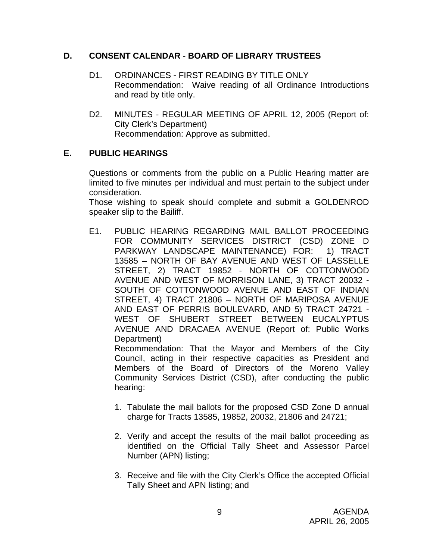## **D. CONSENT CALENDAR** - **BOARD OF LIBRARY TRUSTEES**

- D1. ORDINANCES FIRST READING BY TITLE ONLY Recommendation: Waive reading of all Ordinance Introductions and read by title only.
- D2. MINUTES REGULAR MEETING OF APRIL 12, 2005 (Report of: City Clerk's Department) Recommendation: Approve as submitted.

# **E. PUBLIC HEARINGS**

Questions or comments from the public on a Public Hearing matter are limited to five minutes per individual and must pertain to the subject under consideration.

 Those wishing to speak should complete and submit a GOLDENROD speaker slip to the Bailiff.

E1. PUBLIC HEARING REGARDING MAIL BALLOT PROCEEDING FOR COMMUNITY SERVICES DISTRICT (CSD) ZONE D PARKWAY LANDSCAPE MAINTENANCE) FOR: 1) TRACT 13585 – NORTH OF BAY AVENUE AND WEST OF LASSELLE STREET, 2) TRACT 19852 - NORTH OF COTTONWOOD AVENUE AND WEST OF MORRISON LANE, 3) TRACT 20032 - SOUTH OF COTTONWOOD AVENUE AND EAST OF INDIAN STREET, 4) TRACT 21806 – NORTH OF MARIPOSA AVENUE AND EAST OF PERRIS BOULEVARD, AND 5) TRACT 24721 - WEST OF SHUBERT STREET BETWEEN EUCALYPTUS AVENUE AND DRACAEA AVENUE (Report of: Public Works Department)

 Recommendation: That the Mayor and Members of the City Council, acting in their respective capacities as President and Members of the Board of Directors of the Moreno Valley Community Services District (CSD), after conducting the public hearing:

- 1. Tabulate the mail ballots for the proposed CSD Zone D annual charge for Tracts 13585, 19852, 20032, 21806 and 24721;
- 2. Verify and accept the results of the mail ballot proceeding as identified on the Official Tally Sheet and Assessor Parcel Number (APN) listing;
- 3. Receive and file with the City Clerk's Office the accepted Official Tally Sheet and APN listing; and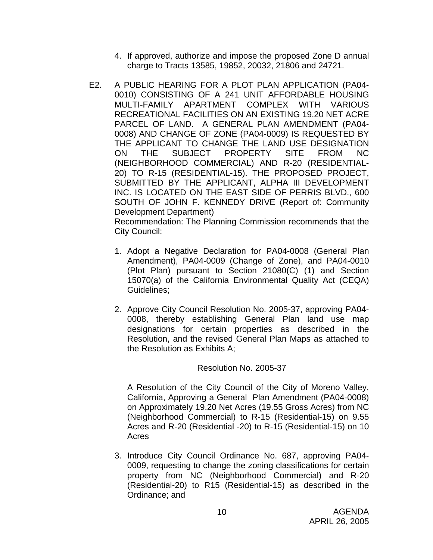- 4. If approved, authorize and impose the proposed Zone D annual charge to Tracts 13585, 19852, 20032, 21806 and 24721.
- E2. A PUBLIC HEARING FOR A PLOT PLAN APPLICATION (PA04- 0010) CONSISTING OF A 241 UNIT AFFORDABLE HOUSING MULTI-FAMILY APARTMENT COMPLEX WITH VARIOUS RECREATIONAL FACILITIES ON AN EXISTING 19.20 NET ACRE PARCEL OF LAND. A GENERAL PLAN AMENDMENT (PA04- 0008) AND CHANGE OF ZONE (PA04-0009) IS REQUESTED BY THE APPLICANT TO CHANGE THE LAND USE DESIGNATION ON THE SUBJECT PROPERTY SITE FROM NC (NEIGHBORHOOD COMMERCIAL) AND R-20 (RESIDENTIAL-20) TO R-15 (RESIDENTIAL-15). THE PROPOSED PROJECT, SUBMITTED BY THE APPLICANT, ALPHA III DEVELOPMENT INC. IS LOCATED ON THE EAST SIDE OF PERRIS BLVD., 600 SOUTH OF JOHN F. KENNEDY DRIVE (Report of: Community Development Department)

 Recommendation: The Planning Commission recommends that the City Council:

- 1. Adopt a Negative Declaration for PA04-0008 (General Plan Amendment), PA04-0009 (Change of Zone), and PA04-0010 (Plot Plan) pursuant to Section 21080(C) (1) and Section 15070(a) of the California Environmental Quality Act (CEQA) Guidelines;
- 2. Approve City Council Resolution No. 2005-37, approving PA04- 0008, thereby establishing General Plan land use map designations for certain properties as described in the Resolution, and the revised General Plan Maps as attached to the Resolution as Exhibits A;

# Resolution No. 2005-37

A Resolution of the City Council of the City of Moreno Valley, California, Approving a General Plan Amendment (PA04-0008) on Approximately 19.20 Net Acres (19.55 Gross Acres) from NC (Neighborhood Commercial) to R-15 (Residential-15) on 9.55 Acres and R-20 (Residential -20) to R-15 (Residential-15) on 10 Acres

3. Introduce City Council Ordinance No. 687, approving PA04- 0009, requesting to change the zoning classifications for certain property from NC (Neighborhood Commercial) and R-20 (Residential-20) to R15 (Residential-15) as described in the Ordinance; and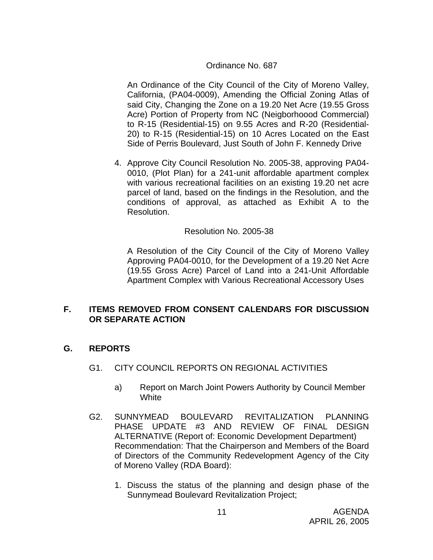#### Ordinance No. 687

An Ordinance of the City Council of the City of Moreno Valley, California, (PA04-0009), Amending the Official Zoning Atlas of said City, Changing the Zone on a 19.20 Net Acre (19.55 Gross Acre) Portion of Property from NC (Neigborhoood Commercial) to R-15 (Residential-15) on 9.55 Acres and R-20 (Residential-20) to R-15 (Residential-15) on 10 Acres Located on the East Side of Perris Boulevard, Just South of John F. Kennedy Drive

4. Approve City Council Resolution No. 2005-38, approving PA04- 0010, (Plot Plan) for a 241-unit affordable apartment complex with various recreational facilities on an existing 19.20 net acre parcel of land, based on the findings in the Resolution, and the conditions of approval, as attached as Exhibit A to the Resolution.

#### Resolution No. 2005-38

A Resolution of the City Council of the City of Moreno Valley Approving PA04-0010, for the Development of a 19.20 Net Acre (19.55 Gross Acre) Parcel of Land into a 241-Unit Affordable Apartment Complex with Various Recreational Accessory Uses

### **F. ITEMS REMOVED FROM CONSENT CALENDARS FOR DISCUSSION OR SEPARATE ACTION**

### **G. REPORTS**

- G1. CITY COUNCIL REPORTS ON REGIONAL ACTIVITIES
	- a) Report on March Joint Powers Authority by Council Member **White**
- G2. SUNNYMEAD BOULEVARD REVITALIZATION PLANNING PHASE UPDATE #3 AND REVIEW OF FINAL DESIGN ALTERNATIVE (Report of: Economic Development Department) Recommendation: That the Chairperson and Members of the Board of Directors of the Community Redevelopment Agency of the City of Moreno Valley (RDA Board):
	- 1. Discuss the status of the planning and design phase of the Sunnymead Boulevard Revitalization Project;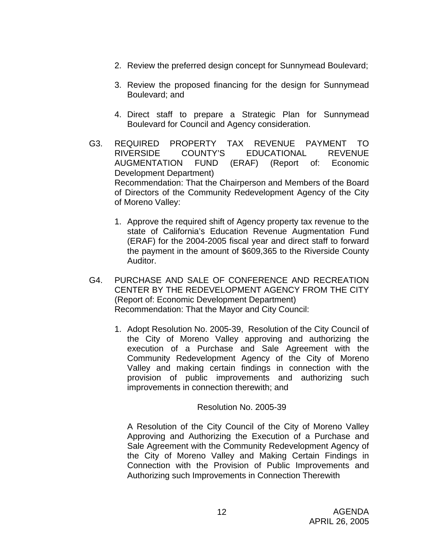- 2. Review the preferred design concept for Sunnymead Boulevard;
- 3. Review the proposed financing for the design for Sunnymead Boulevard; and
- 4. Direct staff to prepare a Strategic Plan for Sunnymead Boulevard for Council and Agency consideration.
- G3. REQUIRED PROPERTY TAX REVENUE PAYMENT TO RIVERSIDE COUNTY'S EDUCATIONAL REVENUE AUGMENTATION FUND (ERAF) (Report of: Economic Development Department) Recommendation: That the Chairperson and Members of the Board of Directors of the Community Redevelopment Agency of the City of Moreno Valley:
	- 1. Approve the required shift of Agency property tax revenue to the state of California's Education Revenue Augmentation Fund (ERAF) for the 2004-2005 fiscal year and direct staff to forward the payment in the amount of \$609,365 to the Riverside County Auditor.
- G4. PURCHASE AND SALE OF CONFERENCE AND RECREATION CENTER BY THE REDEVELOPMENT AGENCY FROM THE CITY (Report of: Economic Development Department) Recommendation: That the Mayor and City Council:
	- 1. Adopt Resolution No. 2005-39, Resolution of the City Council of the City of Moreno Valley approving and authorizing the execution of a Purchase and Sale Agreement with the Community Redevelopment Agency of the City of Moreno Valley and making certain findings in connection with the provision of public improvements and authorizing such improvements in connection therewith; and

Resolution No. 2005-39

A Resolution of the City Council of the City of Moreno Valley Approving and Authorizing the Execution of a Purchase and Sale Agreement with the Community Redevelopment Agency of the City of Moreno Valley and Making Certain Findings in Connection with the Provision of Public Improvements and Authorizing such Improvements in Connection Therewith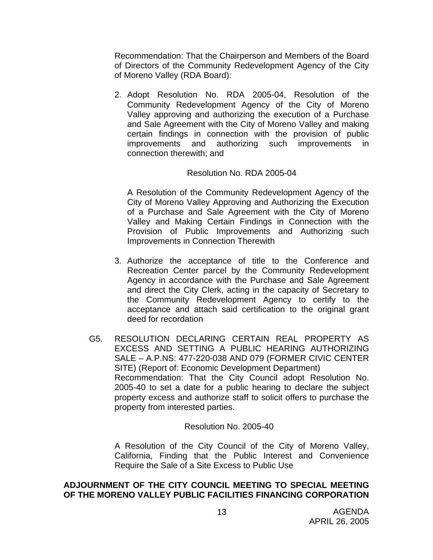Recommendation: That the Chairperson and Members of the Board of Directors of the Community Redevelopment Agency of the City of Moreno Valley (RDA Board):

2. Adopt Resolution No. RDA 2005-04, Resolution of the Community Redevelopment Agency of the City of Moreno Valley approving and authorizing the execution of a Purchase and Sale Agreement with the City of Moreno Valley and making certain findings in connection with the provision of public improvements and authorizing such improvements in connection therewith; and

### Resolution No. RDA 2005-04

A Resolution of the Community Redevelopment Agency of the City of Moreno Valley Approving and Authorizing the Execution of a Purchase and Sale Agreement with the City of Moreno Valley and Making Certain Findings in Connection with the Provision of Public Improvements and Authorizing such Improvements in Connection Therewith

- 3. Authorize the acceptance of title to the Conference and Recreation Center parcel by the Community Redevelopment Agency in accordance with the Purchase and Sale Agreement and direct the City Clerk, acting in the capacity of Secretary to the Community Redevelopment Agency to certify to the acceptance and attach said certification to the original grant deed for recordation
- G5. RESOLUTION DECLARING CERTAIN REAL PROPERTY AS EXCESS AND SETTING A PUBLIC HEARING AUTHORIZING SALE – A.P.NS: 477-220-038 AND 079 (FORMER CIVIC CENTER SITE) (Report of: Economic Development Department) Recommendation: That the City Council adopt Resolution No. 2005-40 to set a date for a public hearing to declare the subject property excess and authorize staff to solicit offers to purchase the property from interested parties.

Resolution No. 2005-40

A Resolution of the City Council of the City of Moreno Valley, California, Finding that the Public Interest and Convenience Require the Sale of a Site Excess to Public Use

## **ADJOURNMENT OF THE CITY COUNCIL MEETING TO SPECIAL MEETING OF THE MORENO VALLEY PUBLIC FACILITIES FINANCING CORPORATION**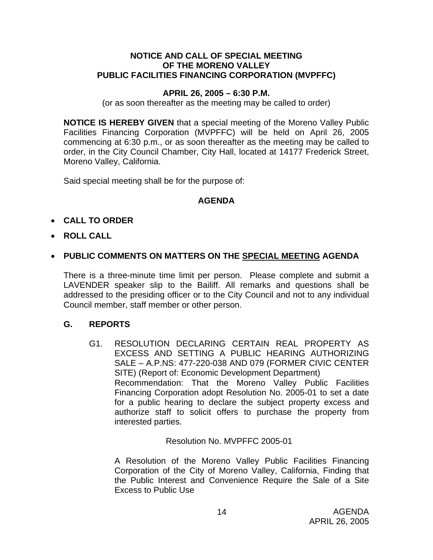#### **NOTICE AND CALL OF SPECIAL MEETING OF THE MORENO VALLEY PUBLIC FACILITIES FINANCING CORPORATION (MVPFFC)**

### **APRIL 26, 2005 – 6:30 P.M.**

(or as soon thereafter as the meeting may be called to order)

**NOTICE IS HEREBY GIVEN** that a special meeting of the Moreno Valley Public Facilities Financing Corporation (MVPFFC) will be held on April 26, 2005 commencing at 6:30 p.m., or as soon thereafter as the meeting may be called to order, in the City Council Chamber, City Hall, located at 14177 Frederick Street, Moreno Valley, California.

Said special meeting shall be for the purpose of:

## **AGENDA**

# • **CALL TO ORDER**

• **ROLL CALL**

## • **PUBLIC COMMENTS ON MATTERS ON THE SPECIAL MEETING AGENDA**

There is a three-minute time limit per person. Please complete and submit a LAVENDER speaker slip to the Bailiff. All remarks and questions shall be addressed to the presiding officer or to the City Council and not to any individual Council member, staff member or other person.

### **G. REPORTS**

G1. RESOLUTION DECLARING CERTAIN REAL PROPERTY AS EXCESS AND SETTING A PUBLIC HEARING AUTHORIZING SALE – A.P.NS: 477-220-038 AND 079 (FORMER CIVIC CENTER SITE) (Report of: Economic Development Department) Recommendation: That the Moreno Valley Public Facilities Financing Corporation adopt Resolution No. 2005-01 to set a date for a public hearing to declare the subject property excess and authorize staff to solicit offers to purchase the property from interested parties.

### Resolution No. MVPFFC 2005-01

A Resolution of the Moreno Valley Public Facilities Financing Corporation of the City of Moreno Valley, California, Finding that the Public Interest and Convenience Require the Sale of a Site Excess to Public Use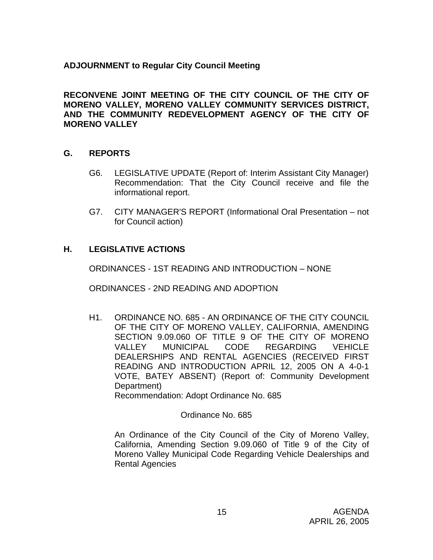# **ADJOURNMENT to Regular City Council Meeting**

**RECONVENE JOINT MEETING OF THE CITY COUNCIL OF THE CITY OF MORENO VALLEY, MORENO VALLEY COMMUNITY SERVICES DISTRICT, AND THE COMMUNITY REDEVELOPMENT AGENCY OF THE CITY OF MORENO VALLEY**

## **G. REPORTS**

- G6. LEGISLATIVE UPDATE (Report of: Interim Assistant City Manager) Recommendation: That the City Council receive and file the informational report.
- G7. CITY MANAGER'S REPORT (Informational Oral Presentation not for Council action)

## **H. LEGISLATIVE ACTIONS**

ORDINANCES - 1ST READING AND INTRODUCTION – NONE

ORDINANCES - 2ND READING AND ADOPTION

H1. ORDINANCE NO. 685 - AN ORDINANCE OF THE CITY COUNCIL OF THE CITY OF MORENO VALLEY, CALIFORNIA, AMENDING SECTION 9.09.060 OF TITLE 9 OF THE CITY OF MORENO VALLEY MUNICIPAL CODE REGARDING VEHICLE DEALERSHIPS AND RENTAL AGENCIES (RECEIVED FIRST READING AND INTRODUCTION APRIL 12, 2005 ON A 4-0-1 VOTE, BATEY ABSENT) (Report of: Community Development Department)

Recommendation: Adopt Ordinance No. 685

#### Ordinance No. 685

 An Ordinance of the City Council of the City of Moreno Valley, California, Amending Section 9.09.060 of Title 9 of the City of Moreno Valley Municipal Code Regarding Vehicle Dealerships and Rental Agencies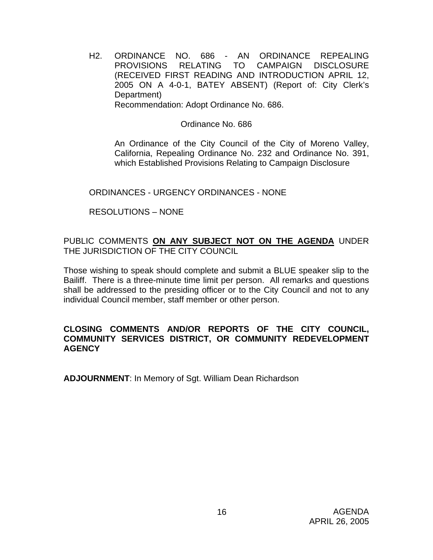H2. ORDINANCE NO. 686 - AN ORDINANCE REPEALING PROVISIONS RELATING TO CAMPAIGN DISCLOSURE (RECEIVED FIRST READING AND INTRODUCTION APRIL 12, 2005 ON A 4-0-1, BATEY ABSENT) (Report of: City Clerk's Department)

Recommendation: Adopt Ordinance No. 686.

# Ordinance No. 686

 An Ordinance of the City Council of the City of Moreno Valley, California, Repealing Ordinance No. 232 and Ordinance No. 391, which Established Provisions Relating to Campaign Disclosure

# ORDINANCES - URGENCY ORDINANCES - NONE

# RESOLUTIONS – NONE

# PUBLIC COMMENTS **ON ANY SUBJECT NOT ON THE AGENDA** UNDER THE JURISDICTION OF THE CITY COUNCIL

Those wishing to speak should complete and submit a BLUE speaker slip to the Bailiff. There is a three-minute time limit per person. All remarks and questions shall be addressed to the presiding officer or to the City Council and not to any individual Council member, staff member or other person.

## **CLOSING COMMENTS AND/OR REPORTS OF THE CITY COUNCIL, COMMUNITY SERVICES DISTRICT, OR COMMUNITY REDEVELOPMENT AGENCY**

**ADJOURNMENT**: In Memory of Sgt. William Dean Richardson